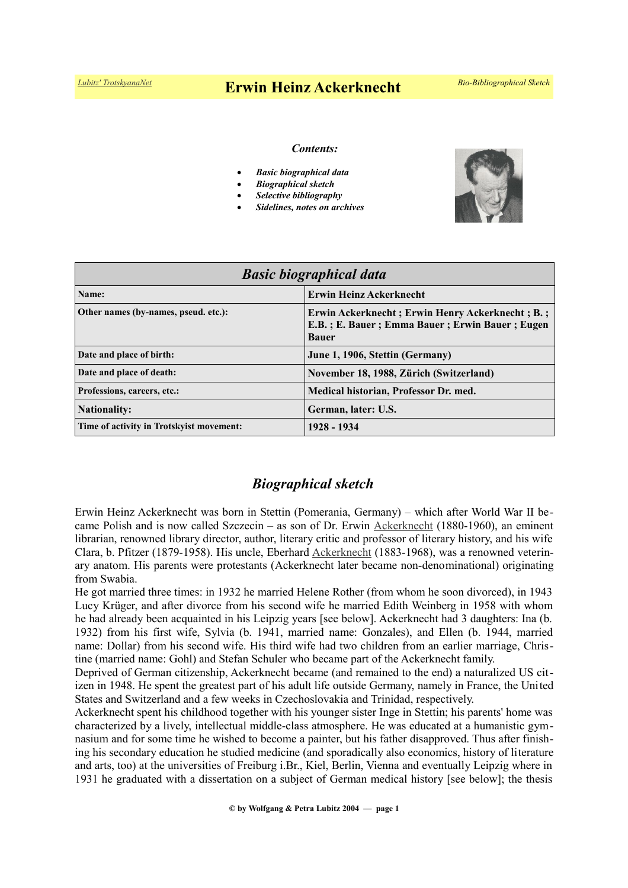# *[Lubitz' TrotskyanaNet](https://www.trotskyana.net/)* **Erwin Heinz Ackerknecht** *Bio-Bibliographical Sketch*

#### *Contents:*

- *Basic biographical data*
- *Biographical sketch*
- *Selective bibliography*
- *Sidelines, notes on archives*



| <b>Basic biographical data</b>           |                                                                                                                   |
|------------------------------------------|-------------------------------------------------------------------------------------------------------------------|
| Name:                                    | <b>Erwin Heinz Ackerknecht</b>                                                                                    |
| Other names (by-names, pseud. etc.):     | Erwin Ackerknecht; Erwin Henry Ackerknecht; B.;<br>E.B.; E. Bauer; Emma Bauer; Erwin Bauer; Eugen<br><b>Bauer</b> |
| Date and place of birth:                 | June 1, 1906, Stettin (Germany)                                                                                   |
| Date and place of death:                 | November 18, 1988, Zürich (Switzerland)                                                                           |
| Professions, careers, etc.:              | Medical historian, Professor Dr. med.                                                                             |
| <b>Nationality:</b>                      | German, later: U.S.                                                                                               |
| Time of activity in Trotskyist movement: | 1928 - 1934                                                                                                       |

### *Biographical sketch*

Erwin Heinz Ackerknecht was born in Stettin (Pomerania, Germany) – which after World War II became Polish and is now called Szczecin – as son of Dr. Erwin [Ackerknecht](https://de.wikipedia.org/wiki/Erwin_Ackerknecht) (1880-1960), an eminent librarian, renowned library director, author, literary critic and professor of literary history, and his wife Clara, b. Pfitzer (1879-1958). His uncle, Eberhard [Ackerknecht](https://de.wikipedia.org/wiki/Eberhard_Ackerknecht) (1883-1968), was a renowned veterinary anatom. His parents were protestants (Ackerknecht later became non-denominational) originating from Swabia.

He got married three times: in 1932 he married Helene Rother (from whom he soon divorced), in 1943 Lucy Krüger, and after divorce from his second wife he married Edith Weinberg in 1958 with whom he had already been acquainted in his Leipzig years [see below]. Ackerknecht had 3 daughters: Ina (b. 1932) from his first wife, Sylvia (b. 1941, married name: Gonzales), and Ellen (b. 1944, married name: Dollar) from his second wife. His third wife had two children from an earlier marriage, Christine (married name: Gohl) and Stefan Schuler who became part of the Ackerknecht family.

Deprived of German citizenship, Ackerknecht became (and remained to the end) a naturalized US citizen in 1948. He spent the greatest part of his adult life outside Germany, namely in France, the United States and Switzerland and a few weeks in Czechoslovakia and Trinidad, respectively.

Ackerknecht spent his childhood together with his younger sister Inge in Stettin; his parents' home was characterized by a lively, intellectual middle-class atmosphere. He was educated at a humanistic gymnasium and for some time he wished to become a painter, but his father disapproved. Thus after finishing his secondary education he studied medicine (and sporadically also economics, history of literature and arts, too) at the universities of Freiburg i.Br., Kiel, Berlin, Vienna and eventually Leipzig where in 1931 he graduated with a dissertation on a subject of German medical history [see below]; the thesis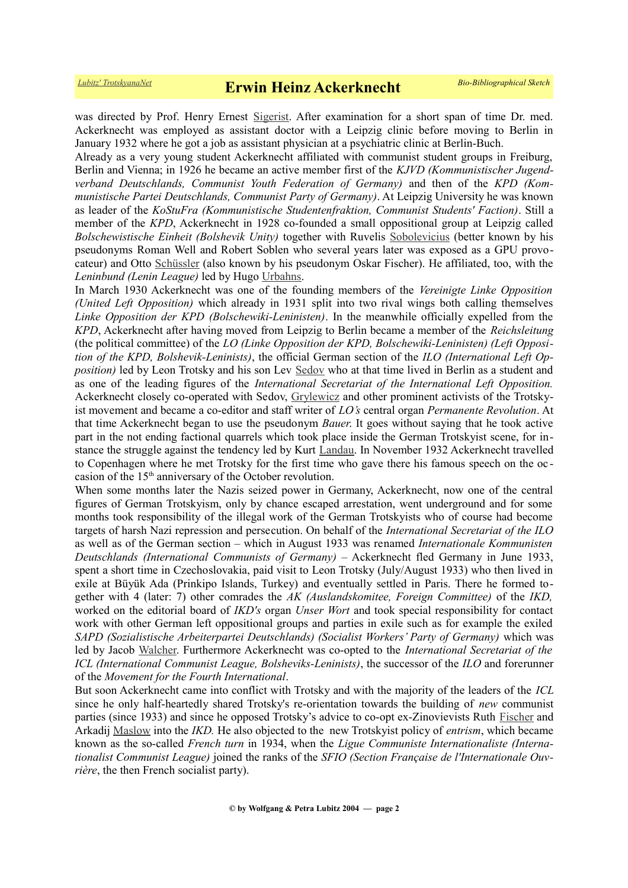was directed by Prof. Henry Ernest [Sigerist.](https://en.wikipedia.org/wiki/Henry_E._Sigerist) After examination for a short span of time Dr. med. Ackerknecht was employed as assistant doctor with a Leipzig clinic before moving to Berlin in January 1932 where he got a job as assistant physician at a psychiatric clinic at Berlin-Buch.

Already as a very young student Ackerknecht affiliated with communist student groups in Freiburg, Berlin and Vienna; in 1926 he became an active member first of the *KJVD (Kommunistischer Jugendverband Deutschlands, Communist Youth Federation of Germany)* and then of the *KPD (Kommunistische Partei Deutschlands, Communist Party of Germany)*. At Leipzig University he was known as leader of the *KoStuFra (Kommunistische Studentenfraktion, Communist Students' Faction)*. Still a member of the *KPD*, Ackerknecht in 1928 co-founded a small oppositional group at Leipzig called *Bolschewistische Einheit (Bolshevik Unity)* together with Ruvelis [Sobolevicius](https://en.wikipedia.org/wiki/Robert_Soblen) (better known by his pseudonyms Roman Well and Robert Soblen who several years later was exposed as a GPU provocateur) and Otto [Schüssler](https://www.trotskyana.net/Trotskyists/Bio-Bibliographies/bio-bibl_schuessler.pdf) (also known by his pseudonym Oskar Fischer). He affiliated, too, with the *Leninbund (Lenin League)* led by Hugo [Urbahns.](https://de.wikipedia.org/wiki/Hugo_Urbahns)

In March 1930 Ackerknecht was one of the founding members of the *Vereinigte Linke Opposition (United Left Opposition)* which already in 1931 split into two rival wings both calling themselves *Linke Opposition der KPD (Bolschewiki-Leninisten)*. In the meanwhile officially expelled from the *KPD*, Ackerknecht after having moved from Leipzig to Berlin became a member of the *Reichsleitung* (the political committee) of the *LO (Linke Opposition der KPD, Bolschewiki-Leninisten) (Left Opposition of the KPD, Bolshevik-Leninists)*, the official German section of the *ILO (International Left Opposition)* led by Leon Trotsky and his son Lev [Sedov](https://en.wikipedia.org/wiki/Lev_Sedov) who at that time lived in Berlin as a student and as one of the leading figures of the *International Secretariat of the International Left Opposition.* Ackerknecht closely co-operated with Sedov, [Grylewicz](https://www.trotskyana.net/Trotskyists/Bio-Bibliographies/bio-bibl_grylewicz.pdf) and other prominent activists of the Trotskyist movement and became a co-editor and staff writer of *LO's* central organ *Permanente Revolution*. At that time Ackerknecht began to use the pseudonym *Bauer*. It goes without saying that he took active part in the not ending factional quarrels which took place inside the German Trotskyist scene, for instance the struggle against the tendency led by Kurt [Landau.](https://de.wikipedia.org/wiki/Kurt_Landau_(Politiker)) In November 1932 Ackerknecht travelled to Copenhagen where he met Trotsky for the first time who gave there his famous speech on the oc casion of the 15th anniversary of the October revolution.

When some months later the Nazis seized power in Germany, Ackerknecht, now one of the central figures of German Trotskyism, only by chance escaped arrestation, went underground and for some months took responsibility of the illegal work of the German Trotskyists who of course had become targets of harsh Nazi repression and persecution. On behalf of the *International Secretariat of the ILO* as well as of the German section – which in August 1933 was renamed *Internationale Kommunisten Deutschlands (International Communists of Germany)* – Ackerknecht fled Germany in June 1933, spent a short time in Czechoslovakia, paid visit to Leon Trotsky (July/August 1933) who then lived in exile at Büyük Ada (Prinkipo Islands, Turkey) and eventually settled in Paris. There he formed together with 4 (later: 7) other comrades the *AK (Auslandskomitee, Foreign Committee)* of the *IKD,* worked on the editorial board of *IKD's* organ *Unser Wort* and took special responsibility for contact work with other German left oppositional groups and parties in exile such as for example the exiled *SAPD (Sozialistische Arbeiterpartei Deutschlands) (Socialist Workers' Party of Germany)* which was led by Jacob [Walcher.](https://de.wikipedia.org/wiki/Jacob_Walcher) Furthermore Ackerknecht was co-opted to the *International Secretariat of the ICL (International Communist League, Bolsheviks-Leninists)*, the successor of the *ILO* and forerunner of the *Movement for the Fourth International*.

But soon Ackerknecht came into conflict with Trotsky and with the majority of the leaders of the *ICL* since he only half-heartedly shared Trotsky's re-orientation towards the building of *new* communist parties (since 1933) and since he opposed Trotsky's advice to co-opt ex-Zinovievists Ruth [Fischer](https://en.wikipedia.org/wiki/Ruth_Fischer) and Arkadij [Maslow](https://de.wikipedia.org/wiki/Arkadi_Maslow) into the *IKD.* He also objected to the new Trotskyist policy of *entrism*, which became known as the so-called *French turn* in 1934, when the *Ligue Communiste Internationaliste (Internationalist Communist League)* joined the ranks of the *SFIO (Section Française de l'Internationale Ouvrière*, the then French socialist party).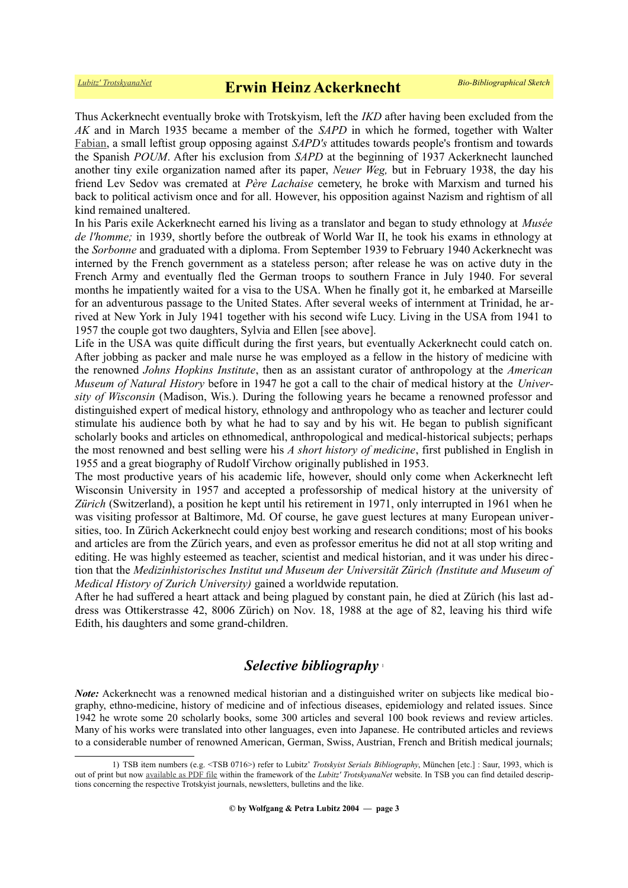Thus Ackerknecht eventually broke with Trotskyism, left the *IKD* after having been excluded from the *AK* and in March 1935 became a member of the *SAPD* in which he formed, together with Walter [Fabian,](https://de.wikipedia.org/wiki/Walter_Fabian) a small leftist group opposing against *SAPD's* attitudes towards people's frontism and towards the Spanish *POUM*. After his exclusion from *SAPD* at the beginning of 1937 Ackerknecht launched another tiny exile organization named after its paper, *Neuer Weg,* but in February 1938, the day his friend Lev Sedov was cremated at *Père Lachaise* cemetery, he broke with Marxism and turned his back to political activism once and for all. However, his opposition against Nazism and rightism of all kind remained unaltered.

In his Paris exile Ackerknecht earned his living as a translator and began to study ethnology at *Musée de l'homme;* in 1939, shortly before the outbreak of World War II, he took his exams in ethnology at the *Sorbonne* and graduated with a diploma. From September 1939 to February 1940 Ackerknecht was interned by the French government as a stateless person; after release he was on active duty in the French Army and eventually fled the German troops to southern France in July 1940. For several months he impatiently waited for a visa to the USA. When he finally got it, he embarked at Marseille for an adventurous passage to the United States. After several weeks of internment at Trinidad, he arrived at New York in July 1941 together with his second wife Lucy. Living in the USA from 1941 to 1957 the couple got two daughters, Sylvia and Ellen [see above].

Life in the USA was quite difficult during the first years, but eventually Ackerknecht could catch on. After jobbing as packer and male nurse he was employed as a fellow in the history of medicine with the renowned *Johns Hopkins Institute*, then as an assistant curator of anthropology at the *American Museum of Natural History* before in 1947 he got a call to the chair of medical history at the *University of Wisconsin* (Madison, Wis.). During the following years he became a renowned professor and distinguished expert of medical history, ethnology and anthropology who as teacher and lecturer could stimulate his audience both by what he had to say and by his wit. He began to publish significant scholarly books and articles on ethnomedical, anthropological and medical-historical subjects; perhaps the most renowned and best selling were his *A short history of medicine*, first published in English in 1955 and a great biography of Rudolf Virchow originally published in 1953.

The most productive years of his academic life, however, should only come when Ackerknecht left Wisconsin University in 1957 and accepted a professorship of medical history at the university of *Zürich* (Switzerland), a position he kept until his retirement in 1971, only interrupted in 1961 when he was visiting professor at Baltimore, Md. Of course, he gave guest lectures at many European universities, too. In Zürich Ackerknecht could enjoy best working and research conditions; most of his books and articles are from the Zürich years, and even as professor emeritus he did not at all stop writing and editing. He was highly esteemed as teacher, scientist and medical historian, and it was under his direction that the *Medizinhistorisches Institut und Museum der Universität Zürich (Institute and Museum of Medical History of Zurich University)* gained a worldwide reputation.

After he had suffered a heart attack and being plagued by constant pain, he died at Zürich (his last address was Ottikerstrasse 42, 8006 Zürich) on Nov. 18, 1988 at the age of 82, leaving his third wife Edith, his daughters and some grand-children.

## *Selective bibliography* [1](#page-2-0)

*Note:* Ackerknecht was a renowned medical historian and a distinguished writer on subjects like medical biography, ethno-medicine, history of medicine and of infectious diseases, epidemiology and related issues. Since 1942 he wrote some 20 scholarly books, some 300 articles and several 100 book reviews and review articles. Many of his works were translated into other languages, even into Japanese. He contributed articles and reviews to a considerable number of renowned American, German, Swiss, Austrian, French and British medical journals;

<span id="page-2-0"></span><sup>1)</sup> TSB item numbers (e.g. <TSB 0716>) refer to Lubitz' *Trotskyist Serials Bibliography*, München [etc.] : Saur, 1993, which is out of print but now [available as PDF file](https://www.trotskyana.net/LubitzBibliographies/Serials_Bibliography/serials_bibliography.htm#PDF) within the framework of the *Lubitz' TrotskyanaNet* website. In TSB you can find detailed descriptions concerning the respective Trotskyist journals, newsletters, bulletins and the like.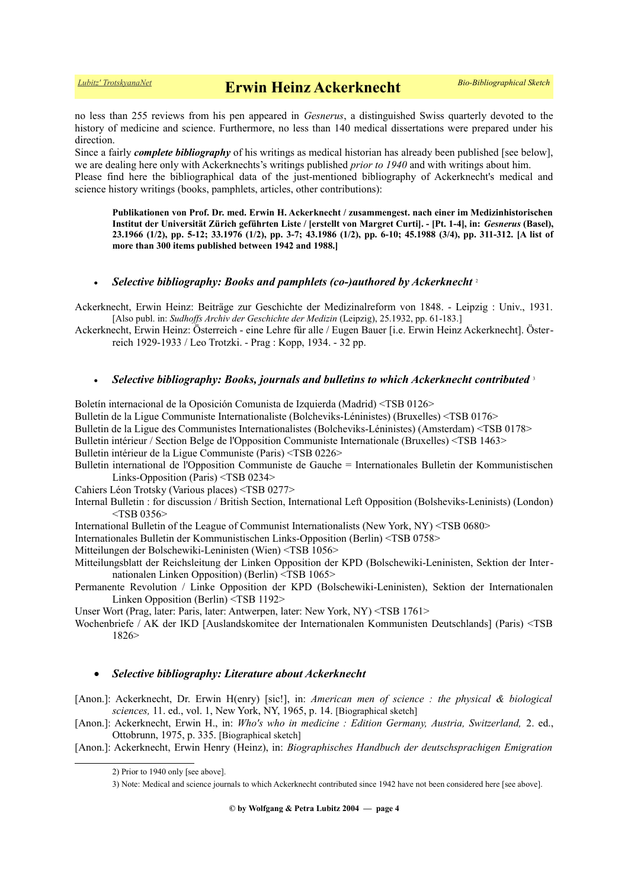no less than 255 reviews from his pen appeared in *Gesnerus*, a distinguished Swiss quarterly devoted to the history of medicine and science. Furthermore, no less than 140 medical dissertations were prepared under his direction.

Since a fairly *complete bibliography* of his writings as medical historian has already been published [see below], we are dealing here only with Ackerknechts's writings published *prior to 1940* and with writings about him. Please find here the bibliographical data of the just-mentioned bibliography of Ackerknecht's medical and science history writings (books, pamphlets, articles, other contributions):

**Publikationen von Prof. Dr. med. Erwin H. Ackerknecht / zusammengest. nach einer im Medizinhistorischen Institut der Universität Zürich geführten Liste / [erstellt von Margret Curti]. - [Pt. 1-4], in:** *Gesnerus* **(Basel), 23.1966 (1/2), pp. 5-12; 33.1976 (1/2), pp. 3-7; 43.1986 (1/2), pp. 6-10; 45.1988 (3/4), pp. 311-312. [A list of more than 300 items published between 1942 and 1988.]**

#### *Selective bibliography: Books and pamphlets (co-)authored by Ackerknecht* [2](#page-3-0)

Ackerknecht, Erwin Heinz: Beiträge zur Geschichte der Medizinalreform von 1848. - Leipzig : Univ., 1931. [Also publ. in: *Sudhoffs Archiv der Geschichte der Medizin* (Leipzig), 25.1932, pp. 61-183.]

Ackerknecht, Erwin Heinz: Österreich - eine Lehre für alle / Eugen Bauer [i.e. Erwin Heinz Ackerknecht]. Österreich 1929-1933 / Leo Trotzki. - Prag : Kopp, 1934. - 32 pp.

#### *Selective bibliography: Books, journals and bulletins to which Ackerknecht contributed* [3](#page-3-1)

Boletín internacional de la Oposición Comunista de Izquierda (Madrid) <TSB 0126> Bulletin de la Ligue Communiste Internationaliste (Bolcheviks-Léninistes) (Bruxelles) <TSB 0176> Bulletin de la Ligue des Communistes Internationalistes (Bolcheviks-Léninistes) (Amsterdam) <TSB 0178> Bulletin intérieur / Section Belge de l'Opposition Communiste Internationale (Bruxelles) <TSB 1463> Bulletin intérieur de la Ligue Communiste (Paris) <TSB 0226>

Bulletin international de l'Opposition Communiste de Gauche = Internationales Bulletin der Kommunistischen Links-Opposition (Paris) <TSB 0234>

Cahiers Léon Trotsky (Various places) <TSB 0277>

- Internal Bulletin : for discussion / British Section, International Left Opposition (Bolsheviks-Leninists) (London)  $<$ TSB 0356 $>$
- International Bulletin of the League of Communist Internationalists (New York, NY) <TSB 0680>

Internationales Bulletin der Kommunistischen Links-Opposition (Berlin) <TSB 0758>

Mitteilungen der Bolschewiki-Leninisten (Wien) <TSB 1056>

- Mitteilungsblatt der Reichsleitung der Linken Opposition der KPD (Bolschewiki-Leninisten, Sektion der Internationalen Linken Opposition) (Berlin) <TSB 1065>
- Permanente Revolution / Linke Opposition der KPD (Bolschewiki-Leninisten), Sektion der Internationalen Linken Opposition (Berlin) <TSB 1192>

Unser Wort (Prag, later: Paris, later: Antwerpen, later: New York, NY) <TSB 1761>

Wochenbriefe / AK der IKD [Auslandskomitee der Internationalen Kommunisten Deutschlands] (Paris) <TSB 1826>

#### *Selective bibliography: Literature about Ackerknecht*

- [Anon.]: Ackerknecht, Dr. Erwin H(enry) [sic!], in: *American men of science : the physical & biological sciences,* 11. ed., vol. 1, New York, NY, 1965, p. 14. [Biographical sketch]
- [Anon.]: Ackerknecht, Erwin H., in: *Who's who in medicine : Edition Germany, Austria, Switzerland,* 2. ed., Ottobrunn, 1975, p. 335. [Biographical sketch]

[Anon.]: Ackerknecht, Erwin Henry (Heinz), in: *Biographisches Handbuch der deutschsprachigen Emigration*

<span id="page-3-0"></span><sup>2)</sup> Prior to 1940 only [see above].

<span id="page-3-1"></span><sup>3)</sup> Note: Medical and science journals to which Ackerknecht contributed since 1942 have not been considered here [see above].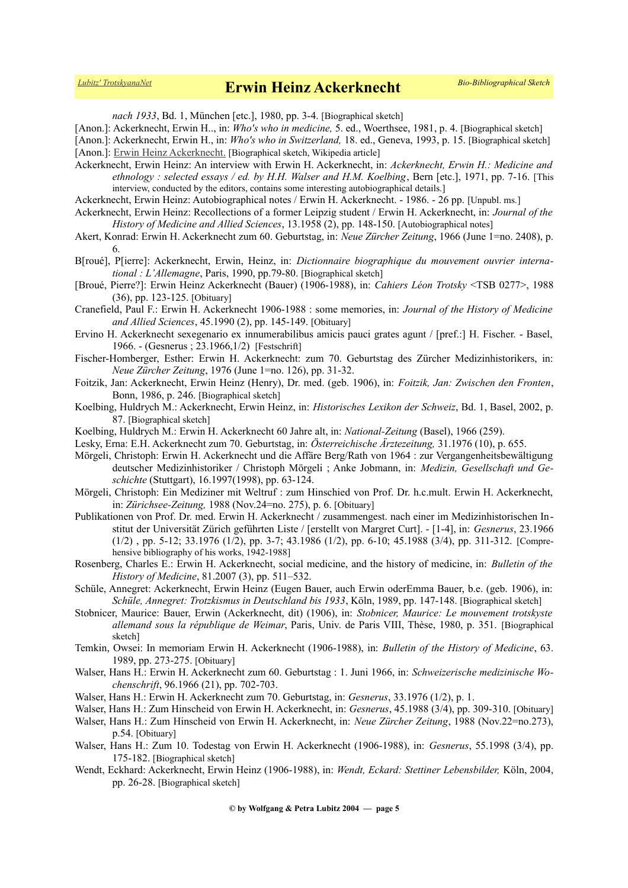*nach 1933*, Bd. 1, München [etc.], 1980, pp. 3-4. [Biographical sketch]

[Anon.]: Ackerknecht, Erwin H.., in: *Who's who in medicine,* 5. ed., Woerthsee, 1981, p. 4. [Biographical sketch]

[Anon.]: Ackerknecht, Erwin H., in: *Who's who in Switzerland,* 18. ed., Geneva, 1993, p. 15. [Biographical sketch]

[Anon.]: [Erwin Heinz Ackerknecht.](https://de.wikipedia.org/wiki/Erwin_Heinz_Ackerknecht) [Biographical sketch, Wikipedia article]

Ackerknecht, Erwin Heinz: An interview with Erwin H. Ackerknecht, in: *Ackerknecht, Erwin H.: Medicine and ethnology : selected essays / ed. by H.H. Walser and H.M. Koelbing*, Bern [etc.], 1971, pp. 7-16. [This interview, conducted by the editors, contains some interesting autobiographical details.]

Ackerknecht, Erwin Heinz: Autobiographical notes / Erwin H. Ackerknecht. - 1986. - 26 pp. [Unpubl. ms.]

Ackerknecht, Erwin Heinz: Recollections of a former Leipzig student / Erwin H. Ackerknecht, in: *Journal of the History of Medicine and Allied Sciences*, 13.1958 (2), pp. 148-150. [Autobiographical notes]

Akert, Konrad: Erwin H. Ackerknecht zum 60. Geburtstag, in: *Neue Zürcher Zeitung*, 1966 (June 1=no. 2408), p. 6.

B[roué], P[ierre]: Ackerknecht, Erwin, Heinz, in: *Dictionnaire biographique du mouvement ouvrier international : L'Allemagne*, Paris, 1990, pp.79-80. [Biographical sketch]

[Broué, Pierre?]: Erwin Heinz Ackerknecht (Bauer) (1906-1988), in: *Cahiers Léon Trotsky* <TSB 0277>, 1988 (36), pp. 123-125. [Obituary]

Cranefield, Paul F.: Erwin H. Ackerknecht 1906-1988 : some memories, in: *Journal of the History of Medicine and Allied Sciences*, 45.1990 (2), pp. 145-149. [Obituary]

- Ervino H. Ackerknecht sexegenario ex innumerabilibus amicis pauci grates agunt / [pref.:] H. Fischer. Basel, 1966. - (Gesnerus ; 23.1966,1/2) [Festschrift]
- Fischer-Homberger, Esther: Erwin H. Ackerknecht: zum 70. Geburtstag des Zürcher Medizinhistorikers, in: *Neue Zürcher Zeitung*, 1976 (June 1=no. 126), pp. 31-32.
- Foitzik, Jan: Ackerknecht, Erwin Heinz (Henry), Dr. med. (geb. 1906), in: *Foitzik, Jan: Zwischen den Fronten*, Bonn, 1986, p. 246. [Biographical sketch]
- Koelbing, Huldrych M.: Ackerknecht, Erwin Heinz, in: *Historisches Lexikon der Schweiz*, Bd. 1, Basel, 2002, p. 87. [Biographical sketch]
- Koelbing, Huldrych M.: Erwin H. Ackerknecht 60 Jahre alt, in: *National-Zeitung* (Basel), 1966 (259).
- Lesky, Erna: E.H. Ackerknecht zum 70. Geburtstag, in: *Österreichische Ärztezeitung,* 31.1976 (10), p. 655.
- Mörgeli, Christoph: Erwin H. Ackerknecht und die Affäre Berg/Rath von 1964 : zur Vergangenheitsbewältigung deutscher Medizinhistoriker / Christoph Mörgeli ; Anke Jobmann, in: *Medizin, Gesellschaft und Geschichte* (Stuttgart), 16.1997(1998), pp. 63-124.
- Mörgeli, Christoph: Ein Mediziner mit Weltruf : zum Hinschied von Prof. Dr. h.c.mult. Erwin H. Ackerknecht, in: *Zürichsee-Zeitung,* 1988 (Nov.24=no. 275), p. 6. [Obituary]
- Publikationen von Prof. Dr. med. Erwin H. Ackerknecht / zusammengest. nach einer im Medizinhistorischen Institut der Universität Zürich geführten Liste / [erstellt von Margret Curt]. - [1-4], in: *Gesnerus*, 23.1966 (1/2) , pp. 5-12; 33.1976 (1/2), pp. 3-7; 43.1986 (1/2), pp. 6-10; 45.1988 (3/4), pp. 311-312. [Comprehensive bibliography of his works, 1942-1988]
- Rosenberg, Charles E.: Erwin H. Ackerknecht, social medicine, and the history of medicine, in: *Bulletin of the History of Medicine*, 81.2007 (3), pp. 511–532.
- Schüle, Annegret: Ackerknecht, Erwin Heinz (Eugen Bauer, auch Erwin oderEmma Bauer, b.e. (geb. 1906), in: *Schüle, Annegret: Trotzkismus in Deutschland bis 1933*, Köln, 1989, pp. 147-148. [Biographical sketch]
- Stobnicer, Maurice: Bauer, Erwin (Ackerknecht, dit) (1906), in: *Stobnicer, Maurice: Le mouvement trotskyste allemand sous la république de Weimar*, Paris, Univ. de Paris VIII, Thèse, 1980, p. 351. [Biographical sketch]
- Temkin, Owsei: In memoriam Erwin H. Ackerknecht (1906-1988), in: *Bulletin of the History of Medicine*, 63. 1989, pp. 273-275. [Obituary]
- Walser, Hans H.: Erwin H. Ackerknecht zum 60. Geburtstag : 1. Juni 1966, in: *Schweizerische medizinische Wochenschrift*, 96.1966 (21), pp. 702-703.
- Walser, Hans H.: Erwin H. Ackerknecht zum 70. Geburtstag, in: *Gesnerus*, 33.1976 (1/2), p. 1.
- Walser, Hans H.: Zum Hinscheid von Erwin H. Ackerknecht, in: *Gesnerus*, 45.1988 (3/4), pp. 309-310. [Obituary]
- Walser, Hans H.: Zum Hinscheid von Erwin H. Ackerknecht, in: *Neue Zürcher Zeitung*, 1988 (Nov.22=no.273), p.54. [Obituary]
- Walser, Hans H.: Zum 10. Todestag von Erwin H. Ackerknecht (1906-1988), in: *Gesnerus*, 55.1998 (3/4), pp. 175-182. [Biographical sketch]
- Wendt, Eckhard: Ackerknecht, Erwin Heinz (1906-1988), in: *Wendt, Eckard: Stettiner Lebensbilder,* Köln, 2004, pp. 26-28. [Biographical sketch]